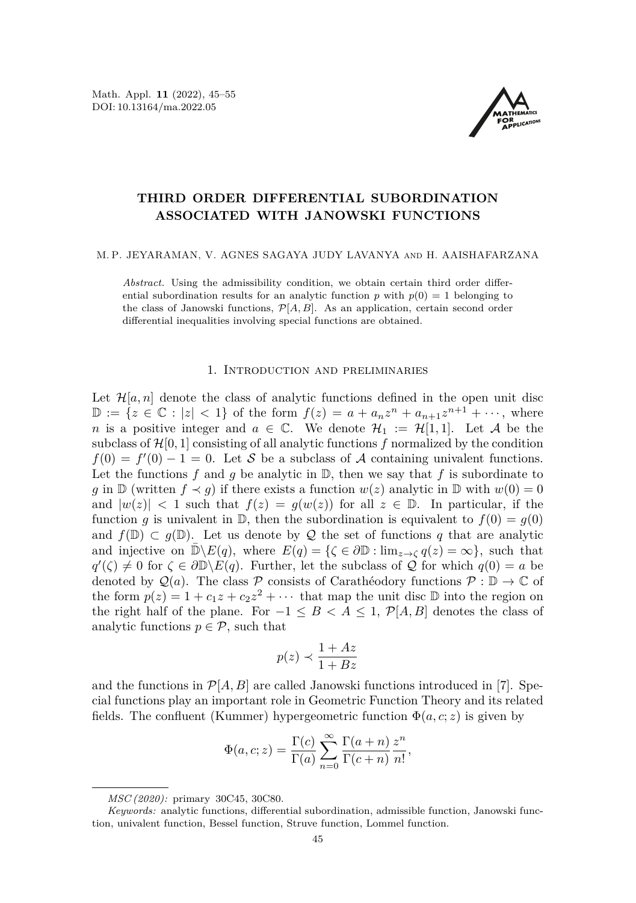Math. Appl. **11** (2022), 45[–55](#page-9-0) DOI: 10.13164/ma.2022.05



# **THIRD ORDER DIFFERENTIAL SUBORDINATION ASSOCIATED WITH JANOWSKI FUNCTIONS**

### M. P. JEYARAMAN, V. AGNES SAGAYA JUDY LAVANYA and H. AAISHAFARZANA

*Abstract.* Using the admissibility condition, we obtain certain third order differential subordination results for an analytic function  $p$  with  $p(0) = 1$  belonging to the class of Janowski functions,  $\mathcal{P}[A, B]$ . As an application, certain second order differential inequalities involving special functions are obtained.

## 1. Introduction and preliminaries

Let  $\mathcal{H}[a,n]$  denote the class of analytic functions defined in the open unit disc D := { $z \in \mathbb{C}$  : |z| < 1} of the form  $f(z) = a + a_n z^n + a_{n+1} z^{n+1} + \cdots$ , where *n* is a positive integer and  $a \in \mathbb{C}$ . We denote  $\mathcal{H}_1 := \mathcal{H}[1,1]$ . Let A be the subclass of  $\mathcal{H}[0,1]$  consisting of all analytic functions f normalized by the condition  $f(0) = f'(0) - 1 = 0$ . Let S be a subclass of A containing univalent functions. Let the functions  $f$  and  $g$  be analytic in  $\mathbb{D}$ , then we say that  $f$  is subordinate to *g* in  $\mathbb{D}$  (written  $f \prec g$ ) if there exists a function  $w(z)$  analytic in  $\mathbb{D}$  with  $w(0) = 0$ and  $|w(z)| < 1$  such that  $f(z) = g(w(z))$  for all  $z \in \mathbb{D}$ . In particular, if the function *q* is univalent in  $\mathbb{D}$ , then the subordination is equivalent to  $f(0) = g(0)$ and  $f(\mathbb{D}) \subset g(\mathbb{D})$ . Let us denote by Q the set of functions q that are analytic and injective on  $\mathbb{D}\setminus E(q)$ , where  $E(q) = {\varsigma \in \partial \mathbb{D} : \lim_{z \to \zeta} q(z) = \infty }$ , such that  $q'(\zeta) \neq 0$  for  $\zeta \in \partial \mathbb{D} \backslash E(q)$ . Further, let the subclass of Q for which  $q(0) = a$  be denoted by  $\mathcal{Q}(a)$ . The class P consists of Carathéodory functions  $\mathcal{P}: \mathbb{D} \to \mathbb{C}$  of the form  $p(z) = 1 + c_1 z + c_2 z^2 + \cdots$  that map the unit disc  $\mathbb D$  into the region on the right half of the plane. For  $-1 \leq B < A \leq 1$ ,  $\mathcal{P}[A, B]$  denotes the class of analytic functions  $p \in \mathcal{P}$ , such that

$$
p(z) \prec \frac{1+Az}{1+Bz}
$$

and the functions in  $\mathcal{P}[A, B]$  are called Janowski functions introduced in [\[7\]](#page-10-0). Special functions play an important role in Geometric Function Theory and its related fields. The confluent (Kummer) hypergeometric function  $\Phi(a, c; z)$  is given by

$$
\Phi(a, c; z) = \frac{\Gamma(c)}{\Gamma(a)} \sum_{n=0}^{\infty} \frac{\Gamma(a+n)}{\Gamma(c+n)} \frac{z^n}{n!},
$$

*MSC (2020):* primary 30C45, 30C80.

*Keywords:* analytic functions, differential subordination, admissible function, Janowski function, univalent function, Bessel function, Struve function, Lommel function.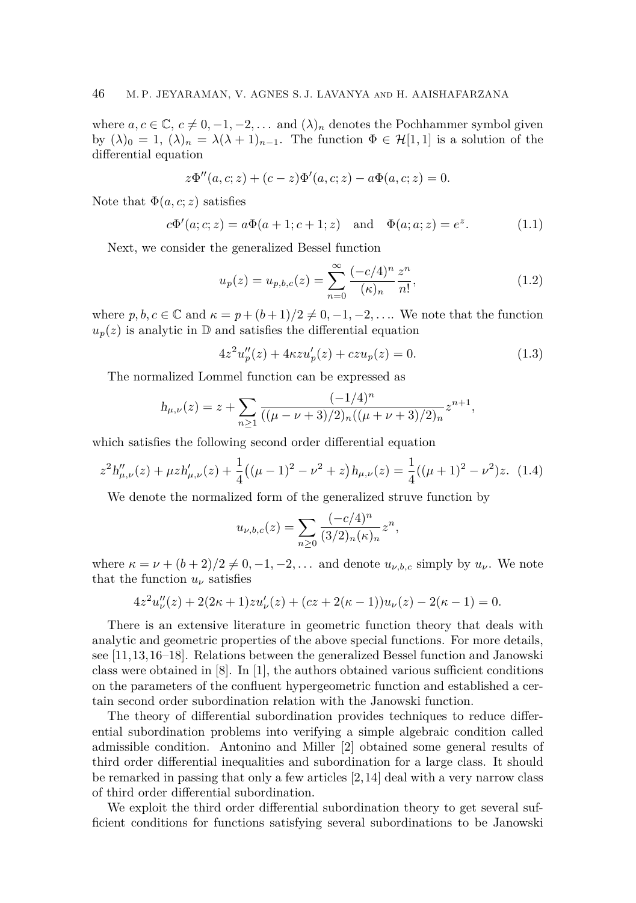where  $a, c \in \mathbb{C}, c \neq 0, -1, -2, \ldots$  and  $(\lambda)_n$  denotes the Pochhammer symbol given by  $(\lambda)_0 = 1$ ,  $(\lambda)_n = \lambda(\lambda + 1)_{n-1}$ . The function  $\Phi \in \mathcal{H}[1,1]$  is a solution of the differential equation

$$
z\Phi''(a,c;z) + (c-z)\Phi'(a,c;z) - a\Phi(a,c;z) = 0.
$$

Note that  $\Phi(a, c; z)$  satisfies

$$
c\Phi'(a;c;z) = a\Phi(a+1;c+1;z)
$$
 and  $\Phi(a;a;z) = e^z$ . (1.1)

Next, we consider the generalized Bessel function

<span id="page-1-1"></span><span id="page-1-0"></span>
$$
u_p(z) = u_{p,b,c}(z) = \sum_{n=0}^{\infty} \frac{(-c/4)^n}{(\kappa)_n} \frac{z^n}{n!},
$$
\n(1.2)

where  $p, b, c \in \mathbb{C}$  and  $\kappa = p + (b+1)/2 \neq 0, -1, -2, \ldots$ . We note that the function  $u_p(z)$  is analytic in  $\mathbb D$  and satisfies the differential equation

<span id="page-1-2"></span>
$$
4z^{2}u_{p}''(z) + 4\kappa zu_{p}'(z) + czu_{p}(z) = 0.
$$
\n(1.3)

The normalized Lommel function can be expressed as

$$
h_{\mu,\nu}(z) = z + \sum_{n \ge 1} \frac{(-1/4)^n}{((\mu - \nu + 3)/2)_n((\mu + \nu + 3)/2)_n} z^{n+1},
$$

which satisfies the following second order differential equation

$$
z^{2}h''_{\mu,\nu}(z) + \mu z h'_{\mu,\nu}(z) + \frac{1}{4}((\mu - 1)^{2} - \nu^{2} + z)h_{\mu,\nu}(z) = \frac{1}{4}((\mu + 1)^{2} - \nu^{2})z.
$$
 (1.4)

We denote the normalized form of the generalized struve function by

<span id="page-1-3"></span>
$$
u_{\nu,b,c}(z) = \sum_{n\geq 0} \frac{(-c/4)^n}{(3/2)_n(\kappa)_n} z^n,
$$

where  $\kappa = \nu + (b+2)/2 \neq 0, -1, -2, \ldots$  and denote  $u_{\nu, b, c}$  simply by  $u_{\nu}$ . We note that the function  $u_{\nu}$  satisfies

$$
4z2u''\nu(z) + 2(2\kappa + 1)zu'\nu(z) + (cz + 2(\kappa - 1))u\nu(z) - 2(\kappa - 1) = 0.
$$

There is an extensive literature in geometric function theory that deals with analytic and geometric properties of the above special functions. For more details, see [\[11,](#page-10-1)[13,](#page-10-2)[16](#page-10-3)[–18\]](#page-10-4). Relations between the generalized Bessel function and Janowski class were obtained in [\[8\]](#page-10-5). In [\[1\]](#page-9-1), the authors obtained various sufficient conditions on the parameters of the confluent hypergeometric function and established a certain second order subordination relation with the Janowski function.

The theory of differential subordination provides techniques to reduce differential subordination problems into verifying a simple algebraic condition called admissible condition. Antonino and Miller [\[2\]](#page-9-2) obtained some general results of third order differential inequalities and subordination for a large class. It should be remarked in passing that only a few articles [\[2,](#page-9-2)[14\]](#page-10-6) deal with a very narrow class of third order differential subordination.

We exploit the third order differential subordination theory to get several sufficient conditions for functions satisfying several subordinations to be Janowski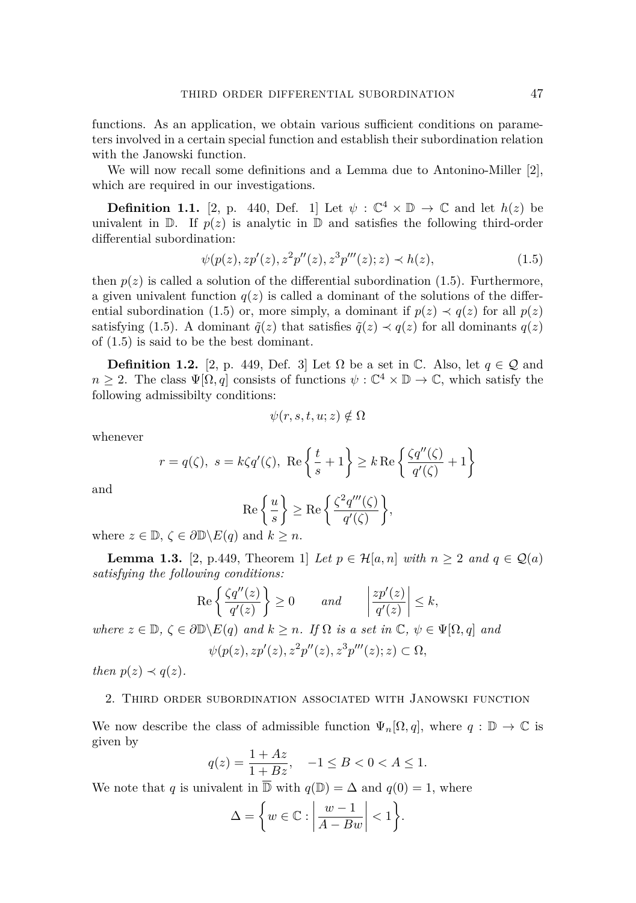functions. As an application, we obtain various sufficient conditions on parameters involved in a certain special function and establish their subordination relation with the Janowski function.

We will now recall some definitions and a Lemma due to Antonino-Miller [\[2\]](#page-9-2), which are required in our investigations.

**Definition 1.1.** [\[2,](#page-9-2) p. 440, Def. 1] Let  $\psi$  :  $\mathbb{C}^4 \times \mathbb{D} \to \mathbb{C}$  and let  $h(z)$  be univalent in  $\mathbb{D}$ . If  $p(z)$  is analytic in  $\mathbb{D}$  and satisfies the following third-order differential subordination:

$$
\psi(p(z), z p'(z), z^2 p''(z), z^3 p'''(z); z) \prec h(z), \tag{1.5}
$$

then  $p(z)$  is called a solution of the differential subordination [\(1.5\)](#page-2-0). Furthermore, a given univalent function  $q(z)$  is called a dominant of the solutions of the differ-ential subordination [\(1.5\)](#page-2-0) or, more simply, a dominant if  $p(z) \prec q(z)$  for all  $p(z)$ satisfying [\(1.5\)](#page-2-0). A dominant  $\tilde{q}(z)$  that satisfies  $\tilde{q}(z) \prec q(z)$  for all dominants  $q(z)$ of [\(1.5\)](#page-2-0) is said to be the best dominant.

**Definition 1.2.** [\[2,](#page-9-2) p. 449, Def. 3] Let  $\Omega$  be a set in  $\mathbb{C}$ . Also, let  $q \in \mathcal{Q}$  and  $n \geq 2$ . The class  $\Psi[\Omega, q]$  consists of functions  $\psi : \mathbb{C}^4 \times \mathbb{D} \to \mathbb{C}$ , which satisfy the following admissibilty conditions:

<span id="page-2-0"></span>
$$
\psi(r,s,t,u;z) \notin \Omega
$$

whenever

$$
r = q(\zeta), s = k\zeta q'(\zeta), \text{Re}\left\{\frac{t}{s} + 1\right\} \ge k \text{Re}\left\{\frac{\zeta q''(\zeta)}{q'(\zeta)} + 1\right\}
$$

and

$$
\operatorname{Re}\left\{\frac{u}{s}\right\} \ge \operatorname{Re}\left\{\frac{\zeta^2 q'''(\zeta)}{q'(\zeta)}\right\},\
$$

where  $z \in \mathbb{D}, \zeta \in \partial \mathbb{D} \backslash E(q)$  and  $k \geq n$ .

<span id="page-2-1"></span>**Lemma 1.3.** [\[2,](#page-9-2) p.449, Theorem 1] *Let*  $p \in \mathcal{H}[a, n]$  *with*  $n \geq 2$  *and*  $q \in \mathcal{Q}(a)$ *satisfying the following conditions:*

$$
\operatorname{Re}\left\{\frac{\zeta q''(z)}{q'(z)}\right\} \ge 0 \quad \text{and} \quad \left|\frac{zp'(z)}{q'(z)}\right| \le k,
$$

*where*  $z \in \mathbb{D}$ ,  $\zeta \in \partial \mathbb{D} \backslash E(q)$  *and*  $k \geq n$ *. If*  $\Omega$  *is a set in*  $\mathbb{C}$ *,*  $\psi \in \Psi[\Omega, q]$  *and* 

$$
\psi(p(z), z p'(z), z^2 p''(z), z^3 p'''(z); z) \subset \Omega,
$$

*then*  $p(z) \prec q(z)$ *.* 

# 2. Third order subordination associated with Janowski function

We now describe the class of admissible function  $\Psi_n[\Omega, q]$ , where  $q : \mathbb{D} \to \mathbb{C}$  is given by

$$
q(z) = \frac{1 + Az}{1 + Bz}, \quad -1 \le B < 0 < A \le 1.
$$

We note that *q* is univalent in  $\overline{D}$  with  $q(D) = \Delta$  and  $q(0) = 1$ , where

$$
\Delta = \left\{ w \in \mathbb{C} : \left| \frac{w - 1}{A - Bw} \right| < 1 \right\}.
$$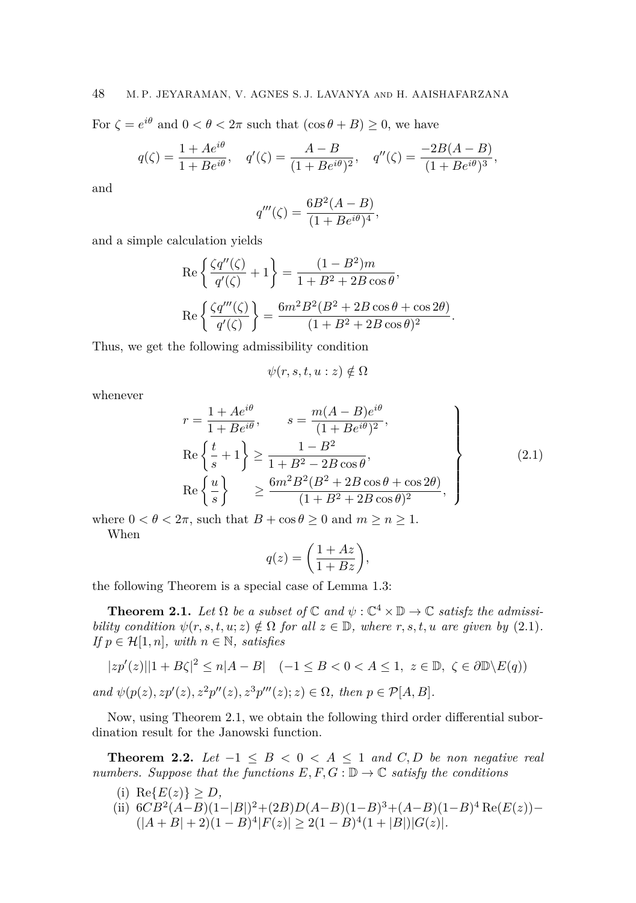For  $\zeta = e^{i\theta}$  and  $0 < \theta < 2\pi$  such that  $(\cos \theta + B) \ge 0$ , we have

$$
q(\zeta) = \frac{1 + Ae^{i\theta}}{1 + Be^{i\theta}}, \quad q'(\zeta) = \frac{A - B}{(1 + Be^{i\theta})^2}, \quad q''(\zeta) = \frac{-2B(A - B)}{(1 + Be^{i\theta})^3},
$$

and

$$
q'''(\zeta) = \frac{6B^2(A - B)}{(1 + Be^{i\theta})^4},
$$

and a simple calculation yields

$$
\operatorname{Re}\left\{\frac{\zeta q''(\zeta)}{q'(\zeta)}+1\right\} = \frac{(1-B^2)m}{1+B^2+2B\cos\theta},
$$

$$
\operatorname{Re}\left\{\frac{\zeta q'''(\zeta)}{q'(\zeta)}\right\} = \frac{6m^2B^2(B^2+2B\cos\theta+\cos 2\theta)}{(1+B^2+2B\cos\theta)^2}.
$$

Thus, we get the following admissibility condition

$$
\psi(r,s,t,u:z) \notin \Omega
$$

whenever

<span id="page-3-0"></span>
$$
r = \frac{1 + Ae^{i\theta}}{1 + Be^{i\theta}}, \qquad s = \frac{m(A - B)e^{i\theta}}{(1 + Be^{i\theta})^2},
$$
  
\n
$$
\text{Re}\left\{\frac{t}{s} + 1\right\} \ge \frac{1 - B^2}{1 + B^2 - 2B\cos\theta},
$$
  
\n
$$
\text{Re}\left\{\frac{u}{s}\right\} \ge \frac{6m^2B^2(B^2 + 2B\cos\theta + \cos 2\theta)}{(1 + B^2 + 2B\cos\theta)^2},
$$
\n(2.1)

where  $0 < \theta < 2\pi$ , such that  $B + \cos \theta \ge 0$  and  $m \ge n \ge 1$ . When

$$
q(z) = \left(\frac{1+Az}{1+Bz}\right),\,
$$

the following Theorem is a special case of Lemma [1.3:](#page-2-1)

<span id="page-3-1"></span>**Theorem 2.1.** *Let*  $\Omega$  *be a subset of*  $\mathbb C$  *and*  $\psi$  :  $\mathbb C^4 \times \mathbb D \to \mathbb C$  *satisfz the admissibility condition*  $\psi(r, s, t, u; z) \notin \Omega$  *for all*  $z \in \mathbb{D}$ *, where r, s, t, u are given by* [\(2.1\)](#page-3-0)*. If*  $p \in \mathcal{H}[1,n]$ *, with*  $n \in \mathbb{N}$ *, satisfies* 

$$
|zp'(z)||1 + B\zeta|^2 \le n|A - B| \quad (-1 \le B < 0 < A \le 1, \ z \in \mathbb{D}, \ \zeta \in \partial \mathbb{D} \setminus E(q))
$$
\n
$$
and \ \psi(p(z), zp'(z), z^2p''(z), z^3p'''(z); z) \in \Omega, \ then \ p \in \mathcal{P}[A, B].
$$

Now, using Theorem [2.1,](#page-3-1) we obtain the following third order differential subordination result for the Janowski function.

<span id="page-3-2"></span>**Theorem 2.2.** *Let*  $-1 \leq B < 0 < A \leq 1$  *and*  $C, D$  *be non negative real numbers. Suppose that the functions*  $E, F, G : \mathbb{D} \to \mathbb{C}$  *satisfy the conditions* 

- (i)  $\text{Re}\{E(z)\} \geq D$ *,*
- (ii)  $6CB^2(A-B)(1-|B|)^2+(2B)D(A-B)(1-B)^3+(A-B)(1-B)^4 \text{Re}(E(z))−$  $(|A + B| + 2)(1 - B)^4 |F(z)| \geq 2(1 - B)^4 (1 + |B|) |G(z)|$ .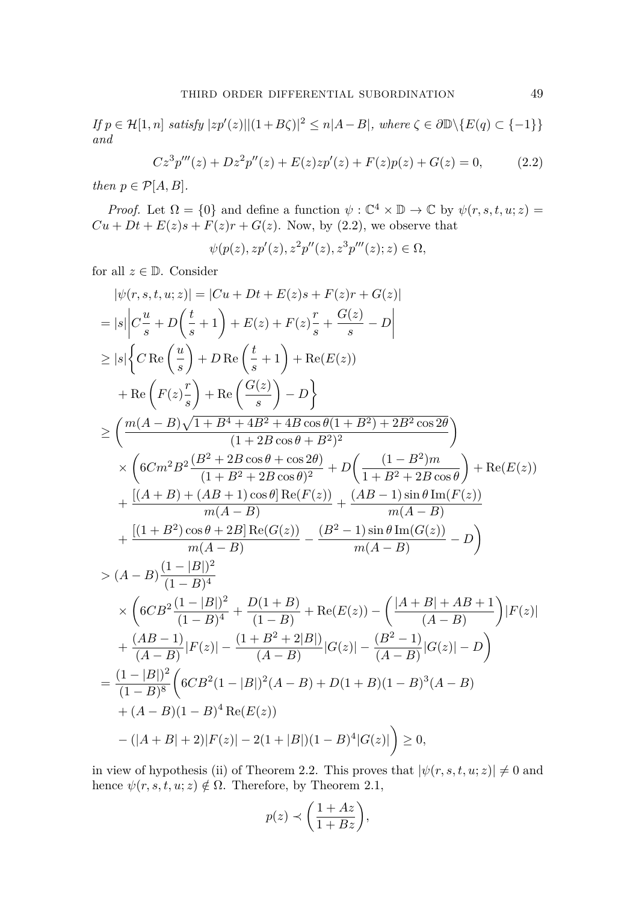*If*  $p \in \mathcal{H}[1,n]$  *satisfy*  $|zp'(z)| |(1+B\zeta)|^2 \le n|A-B|$ , where  $\zeta \in \partial \mathbb{D} \setminus \{E(q) \subset \{-1\}\}\$ *and*

$$
Cz3p'''(z) + Dz2p''(z) + E(z)zp'(z) + F(z)p(z) + G(z) = 0,
$$
 (2.2)

*then*  $p \in \mathcal{P}[A, B]$ *.* 

*Proof.* Let  $\Omega = \{0\}$  and define a function  $\psi : \mathbb{C}^4 \times \mathbb{D} \to \mathbb{C}$  by  $\psi(r, s, t, u; z) =$  $Cu + Dt + E(z)s + F(z)r + G(z)$ . Now, by [\(2.2\)](#page-4-0), we observe that

<span id="page-4-0"></span>
$$
\psi(p(z), z p'(z), z^2 p''(z), z^3 p'''(z); z) \in \Omega,
$$

for all  $z \in \mathbb{D}$ . Consider

$$
|\psi(r, s, t, u; z)| = |Cu + Dt + E(z)s + F(z)r + G(z)|
$$
  
\n
$$
= |s| \left| C\frac{u}{s} + D\left(\frac{t}{s} + 1\right) + E(z) + F(z)\frac{r}{s} + \frac{G(z)}{s} - D \right|
$$
  
\n
$$
\geq |s| \left\{ C \operatorname{Re} \left(\frac{u}{s}\right) + D \operatorname{Re} \left(\frac{t}{s} + 1\right) + \operatorname{Re}(E(z))
$$
  
\n
$$
+ \operatorname{Re} \left(F(z)\frac{r}{s}\right) + \operatorname{Re} \left(\frac{G(z)}{s}\right) - D \right\}
$$
  
\n
$$
\geq \left(\frac{m(A - B)\sqrt{1 + B^4 + 4B^2 + 4B\cos\theta(1 + B^2) + 2B^2\cos 2\theta}}{(1 + 2B\cos\theta + B^2)^2}\right)
$$
  
\n
$$
\times \left(6Cm^2B^2 \frac{(B^2 + 2B\cos\theta + \cos 2\theta)}{(1 + B^2 + 2B\cos\theta)^2} + D\left(\frac{(1 - B^2)m}{1 + B^2 + 2B\cos\theta}\right) + \operatorname{Re}(E(z))
$$
  
\n
$$
+ \frac{[(A + B) + (AB + 1)\cos\theta] \operatorname{Re}(F(z))}{m(A - B)} + \frac{(AB - 1)\sin\theta \operatorname{Im}(F(z))}{m(A - B)}
$$
  
\n
$$
+ \frac{[(1 + B^2)\cos\theta + 2B] \operatorname{Re}(G(z))}{m(A - B)} - \frac{(B^2 - 1)\sin\theta \operatorname{Im}(G(z))}{m(A - B)} - D \right)
$$
  
\n
$$
> (A - B)\frac{(1 - |B|)^2}{(1 - B)^4}
$$
  
\n
$$
\times \left(6CB^2 \frac{(1 - |B|)^2}{(1 - B)^4} + \frac{D(1 + B)}{(1 - B)} + \operatorname{Re}(E(z)) - \left(\frac{|A + B| + AB + 1}{(A - B)}\right)|F(z)|
$$
  
\n
$$
+ \frac{(AB - 1)}{(A - B)}|F(z)| - \frac{(1 + B^2 + 2|B|)}{(A - B)}|G(z)| - \frac{(B^2 - 1)}
$$

in view of hypothesis (ii) of Theorem [2.2.](#page-3-2) This proves that  $|\psi(r, s, t, u; z)| \neq 0$  and hence  $\psi(r, s, t, u; z) \notin \Omega$ . Therefore, by Theorem [2.1,](#page-3-1)

$$
p(z) \prec \left(\frac{1+Az}{1+Bz}\right),\,
$$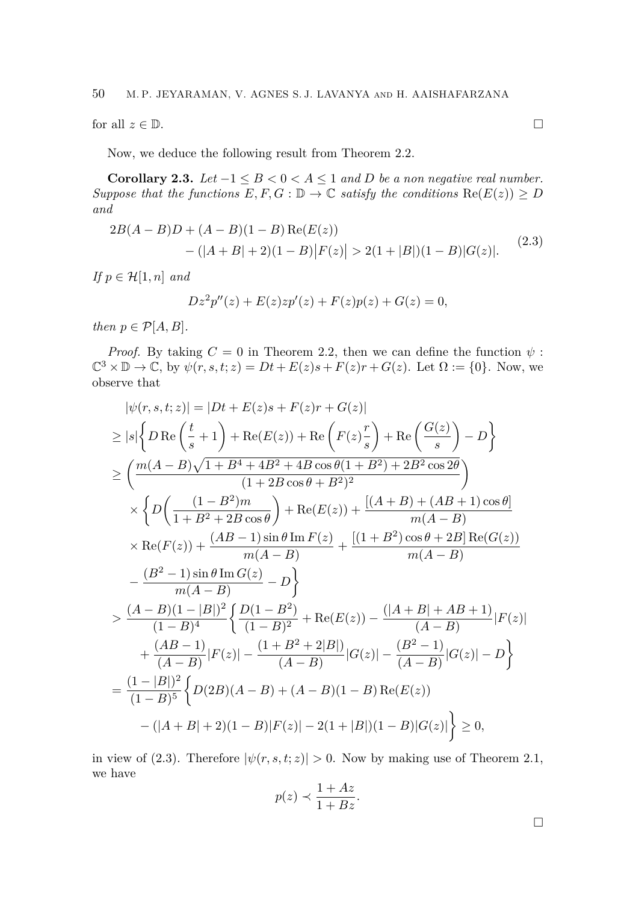for all  $z \in \mathbb{D}$ .  $\Box$ 

Now, we deduce the following result from Theorem [2.2.](#page-3-2)

**Corollary 2.3.** *Let*  $-1 \leq B \leq 0 \leq A \leq 1$  *and D be a non negative real number. Suppose that the functions*  $E, F, G : \mathbb{D} \to \mathbb{C}$  *satisfy the conditions*  $\text{Re}(E(z)) \geq D$ *and*

$$
2B(A - B)D + (A - B)(1 - B) \operatorname{Re}(E(z))
$$
  
-(|A + B| + 2)(1 - B)|F(z)| > 2(1 + |B|)(1 - B)|G(z)|. (2.3)

*If*  $p \in \mathcal{H}[1,n]$  *and* 

$$
Dz^{2}p''(z) + E(z)zp'(z) + F(z)p(z) + G(z) = 0,
$$

*then*  $p \in \mathcal{P}[A, B]$ *.* 

*Proof.* By taking  $C = 0$  in Theorem [2.2,](#page-3-2) then we can define the function  $\psi$ :  $\mathbb{C}^3 \times \mathbb{D} \to \mathbb{C}$ , by  $\psi(r, s, t; z) = Dt + E(z)s + F(z)r + G(z)$ . Let  $\Omega := \{0\}$ . Now, we observe that

$$
|\psi(r, s, t; z)| = |Dt + E(z)s + F(z)r + G(z)|
$$
  
\n
$$
\geq |s| \left\{ DRe\left(\frac{t}{s} + 1\right) + \text{Re}(E(z)) + \text{Re}\left(F(z)\frac{r}{s}\right) + \text{Re}\left(\frac{G(z)}{s}\right) - D\right\}
$$
  
\n
$$
\geq \left(\frac{m(A - B)\sqrt{1 + B^4 + 4B^2 + 4B\cos\theta(1 + B^2) + 2B^2\cos 2\theta}}{(1 + 2B\cos\theta + B^2)^2}\right)
$$
  
\n
$$
\times \left\{D\left(\frac{(1 - B^2)m}{1 + B^2 + 2B\cos\theta}\right) + \text{Re}(E(z)) + \frac{[(A + B) + (AB + 1)\cos\theta]}{m(A - B)}\right\}
$$
  
\n
$$
\times \text{Re}(F(z)) + \frac{(AB - 1)\sin\theta \text{Im }F(z)}{m(A - B)} + \frac{[(1 + B^2)\cos\theta + 2B]\text{Re}(G(z))}{m(A - B)}
$$
  
\n
$$
-\frac{(B^2 - 1)\sin\theta \text{Im }G(z)}{m(A - B)} - D\right\}
$$
  
\n
$$
\geq \frac{(A - B)(1 - |B|)^2}{(1 - B)^4} \left\{\frac{D(1 - B^2)}{(1 - B)^2} + \text{Re}(E(z)) - \frac{(|A + B| + AB + 1)}{(A - B)}|F(z)| + \frac{(AB - 1)}{(A - B)}|F(z)| - \frac{(1 + B^2 + 2|B|)}{(A - B)}|G(z)| - \frac{(B^2 - 1)}{(A - B)}|G(z)| - D\right\}
$$
  
\n
$$
= \frac{(1 - |B|)^2}{(1 - B)^5} \left\{D(2B)(A - B) + (A - B)(1 - B)\text{Re}(E(z)) - (|A + B| + 2)(1 - B)|F(z)| - 2(1 + |B|)(1 - B)|G(z)|\right\} \geq 0,
$$

in view of [\(2.3\)](#page-5-0). Therefore  $|\psi(r, s, t; z)| > 0$ . Now by making use of Theorem [2.1,](#page-3-1) we have

$$
p(z) \prec \frac{1 + Az}{1 + Bz}.
$$

□

<span id="page-5-0"></span>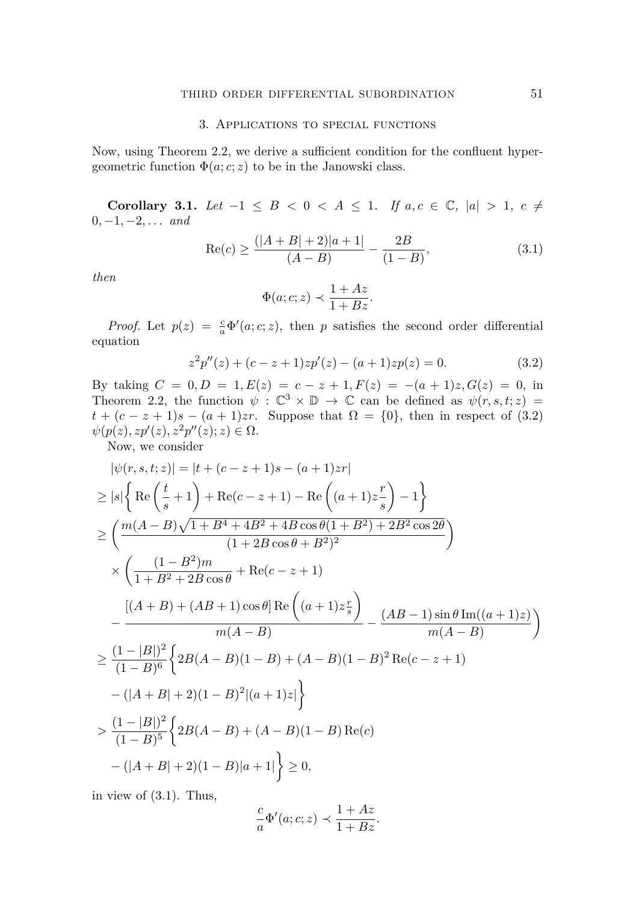## 3. Applications to special functions

Now, using Theorem [2.2,](#page-3-2) we derive a sufficient condition for the confluent hypergeometric function  $\Phi(a; c; z)$  to be in the Janowski class.

**Corollary 3.1.** *Let* −1 ≤ *B* < 0 < *A* ≤ 1*. If*  $a, c \in \mathbb{C}$ ,  $|a| > 1$ ,  $c ≠$ 0*,* −1*,* −2*, . . . and*

$$
\operatorname{Re}(c) \ge \frac{(|A+B|+2)|a+1|}{(A-B)} - \frac{2B}{(1-B)},\tag{3.1}
$$

*then*

<span id="page-6-1"></span><span id="page-6-0"></span>
$$
\Phi(a;c;z) \prec \frac{1+Az}{1+Bz}.
$$

*Proof.* Let  $p(z) = \frac{c}{a}\Phi'(a;c;z)$ , then *p* satisfies the second order differential equation

$$
z2p''(z) + (c - z + 1)zp'(z) - (a + 1)zp(z) = 0.
$$
 (3.2)

By taking  $C = 0, D = 1, E(z) = c - z + 1, F(z) = -(a + 1)z, G(z) = 0$ , in Theorem [2.2,](#page-3-2) the function  $\psi : \mathbb{C}^3 \times \mathbb{D} \to \mathbb{C}$  can be defined as  $\psi(r, s, t; z) =$  $t + (c - z + 1)s - (a + 1)z$ . Suppose that  $\Omega = \{0\}$ , then in respect of [\(3.2\)](#page-6-0)  $\psi(p(z), z p'(z), z^2 p''(z); z) \in \Omega$ .

Now, we consider

$$
|\psi(r, s, t; z)| = |t + (c - z + 1)s - (a + 1)zr|
$$
  
\n
$$
\geq |s| \left\{ \text{Re}\left(\frac{t}{s} + 1\right) + \text{Re}(c - z + 1) - \text{Re}\left((a + 1)z\frac{r}{s}\right) - 1 \right\}
$$
  
\n
$$
\geq \left(\frac{m(A - B)\sqrt{1 + B^4 + 4B^2 + 4B\cos\theta(1 + B^2) + 2B^2\cos 2\theta}}{(1 + 2B\cos\theta + B^2)^2}\right)
$$
  
\n
$$
\times \left(\frac{(1 - B^2)m}{1 + B^2 + 2B\cos\theta} + \text{Re}(c - z + 1)\right)
$$
  
\n
$$
-\frac{[(A + B) + (AB + 1)\cos\theta] \text{Re}\left((a + 1)z\frac{r}{s}\right)}{m(A - B)} - \frac{(AB - 1)\sin\theta \text{Im}((a + 1)z)}{m(A - B)}\right)
$$
  
\n
$$
\geq \frac{(1 - |B|)^2}{(1 - B)^6} \left\{ 2B(A - B)(1 - B) + (A - B)(1 - B)^2 \text{Re}(c - z + 1) - (|A + B| + 2)(1 - B)^2 |(a + 1)z|\right\}
$$
  
\n
$$
> \frac{(1 - |B|)^2}{(1 - B)^5} \left\{ 2B(A - B) + (A - B)(1 - B) \text{Re}(c) - (|A + B| + 2)(1 - B)|a + 1|\right\} \geq 0,
$$

in view of [\(3.1\)](#page-6-1). Thus,

$$
\frac{c}{a}\Phi'(a;c;z) \prec \frac{1+Az}{1+Bz}.
$$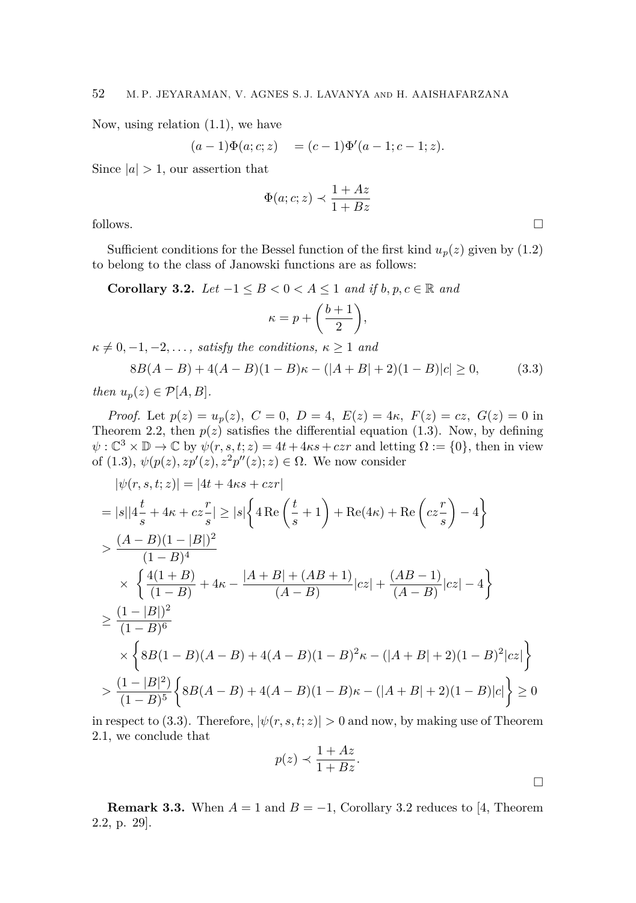Now, using relation [\(1.1\)](#page-1-0), we have

$$
(a-1)\Phi(a;c;z) = (c-1)\Phi'(a-1;c-1;z).
$$

Since  $|a| > 1$ , our assertion that

$$
\Phi(a;c;z) \prec \frac{1+Az}{1+Bz}
$$

follows.  $\Box$ 

Sufficient conditions for the Bessel function of the first kind  $u_p(z)$  given by [\(1.2\)](#page-1-1) to belong to the class of Janowski functions are as follows:

<span id="page-7-1"></span>**Corollary 3.2.** *Let*  $-1 \leq B < 0 < A \leq 1$  *and if b*, *p*, *c* ∈ R *and* 

<span id="page-7-0"></span>
$$
\kappa = p + \bigg(\frac{b+1}{2}\bigg),
$$

 $\kappa \neq 0, -1, -2, \ldots$ , *satisfy the conditions,*  $\kappa \geq 1$  *and* 

$$
8B(A-B) + 4(A-B)(1-B)\kappa - (|A+B|+2)(1-B)|c| \ge 0,
$$
\n(3.3)

*then*  $u_p(z) \in \mathcal{P}[A, B]$ *.* 

*Proof.* Let  $p(z) = u_p(z)$ ,  $C = 0$ ,  $D = 4$ ,  $E(z) = 4\kappa$ ,  $F(z) = cz$ ,  $G(z) = 0$  in Theorem [2.2,](#page-3-2) then  $p(z)$  satisfies the differential equation [\(1.3\)](#page-1-2). Now, by defining  $\psi$ :  $\mathbb{C}^3 \times \mathbb{D} \to \mathbb{C}$  by  $\psi(r, s, t; z) = 4t + 4\kappa s + c z r$  and letting  $\Omega := \{0\}$ , then in view of  $(1.3)$ ,  $\psi(p(z), zp'(z), z^2p''(z); z) \in \Omega$ . We now consider

$$
|\psi(r, s, t; z)| = |4t + 4\kappa s + c zr|
$$
  
\n
$$
= |s||4\frac{t}{s} + 4\kappa + c z\frac{r}{s}| \ge |s| \left\{ 4\operatorname{Re}\left(\frac{t}{s} + 1\right) + \operatorname{Re}(4\kappa) + \operatorname{Re}\left(c z\frac{r}{s}\right) - 4 \right\}
$$
  
\n
$$
> \frac{(A - B)(1 - |B|)^2}{(1 - B)^4}
$$
  
\n
$$
\times \left\{ \frac{4(1 + B)}{(1 - B)} + 4\kappa - \frac{|A + B| + (AB + 1)}{(A - B)}|cz| + \frac{(AB - 1)}{(A - B)}|cz| - 4 \right\}
$$
  
\n
$$
\ge \frac{(1 - |B|)^2}{(1 - B)^6}
$$
  
\n
$$
\times \left\{ 8B(1 - B)(A - B) + 4(A - B)(1 - B)^2\kappa - (|A + B| + 2)(1 - B)^2|cz| \right\}
$$
  
\n
$$
> \frac{(1 - |B|^2)}{(1 - B)^5} \left\{ 8B(A - B) + 4(A - B)(1 - B)\kappa - (|A + B| + 2)(1 - B)|c| \right\} \ge 0
$$

in respect to [\(3.3\)](#page-7-0). Therefore,  $|\psi(r, s, t; z)| > 0$  and now, by making use of Theorem [2.1,](#page-3-1) we conclude that

$$
p(z) \prec \frac{1+Az}{1+Bz}.
$$

**Remark 3.3.** When  $A = 1$  and  $B = -1$ , Corollary [3.2](#page-7-1) reduces to [\[4,](#page-10-7) Theorem 2.2, p. 29].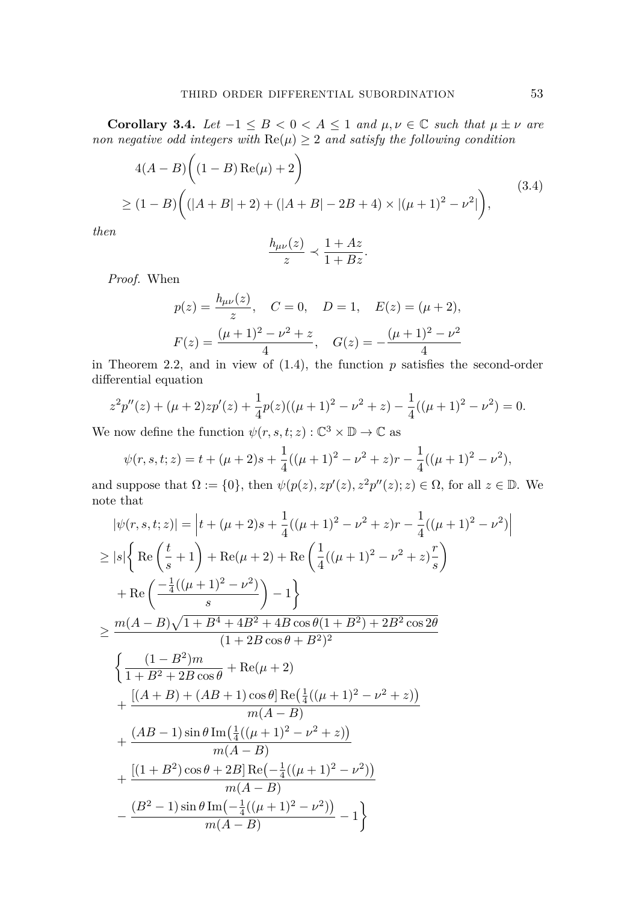**Corollary 3.4.** *Let*  $-1 \leq B < 0 < A \leq 1$  *and*  $\mu, \nu \in \mathbb{C}$  *such that*  $\mu \pm \nu$  *are non negative odd integers with*  $\text{Re}(\mu) \geq 2$  *and satisfy the following condition* 

$$
4(A - B) \left( (1 - B) \operatorname{Re}(\mu) + 2 \right)
$$
  
\n
$$
\geq (1 - B) \left( (|A + B| + 2) + (|A + B| - 2B + 4) \times |(\mu + 1)^2 - \nu^2| \right),
$$
\n(3.4)

*then*

<span id="page-8-0"></span>
$$
\frac{h_{\mu\nu}(z)}{z} \prec \frac{1+Az}{1+Bz}.
$$

*Proof.* When

$$
p(z) = \frac{h_{\mu\nu}(z)}{z}, \quad C = 0, \quad D = 1, \quad E(z) = (\mu + 2),
$$
  

$$
F(z) = \frac{(\mu + 1)^2 - \nu^2 + z}{4}, \quad G(z) = -\frac{(\mu + 1)^2 - \nu^2}{4}
$$

in Theorem [2.2,](#page-3-2) and in view of  $(1.4)$ , the function  $p$  satisfies the second-order differential equation

$$
z^{2}p''(z) + (\mu + 2)zp'(z) + \frac{1}{4}p(z)((\mu + 1)^{2} - \nu^{2} + z) - \frac{1}{4}((\mu + 1)^{2} - \nu^{2}) = 0.
$$

We now define the function  $\psi(r, s, t; z) : \mathbb{C}^3 \times \mathbb{D} \to \mathbb{C}$  as

$$
\psi(r,s,t;z) = t + (\mu + 2)s + \frac{1}{4}((\mu + 1)^2 - \nu^2 + z)r - \frac{1}{4}((\mu + 1)^2 - \nu^2),
$$

and suppose that  $\Omega := \{0\}$ , then  $\psi(p(z), zp'(z), z^2p''(z); z) \in \Omega$ , for all  $z \in \mathbb{D}$ . We note that

$$
|\psi(r, s, t; z)| = |t + (\mu + 2)s + \frac{1}{4}((\mu + 1)^2 - \nu^2 + z)r - \frac{1}{4}((\mu + 1)^2 - \nu^2)
$$
  
\n
$$
\geq |s| \left\{ \text{Re} \left( \frac{t}{s} + 1 \right) + \text{Re}(\mu + 2) + \text{Re} \left( \frac{1}{4}((\mu + 1)^2 - \nu^2 + z) \frac{r}{s} \right) \right\}
$$
  
\n
$$
+ \text{Re} \left( \frac{-\frac{1}{4}((\mu + 1)^2 - \nu^2)}{s} \right) - 1 \right\}
$$
  
\n
$$
\geq \frac{m(A - B)\sqrt{1 + B^4 + 4B^2 + 4B\cos\theta(1 + B^2) + 2B^2\cos 2\theta}}{(1 + 2B\cos\theta + B^2)^2}
$$
  
\n
$$
\left\{ \frac{(1 - B^2)m}{1 + B^2 + 2B\cos\theta} + \text{Re}(\mu + 2) + \frac{[(A + B) + (AB + 1)\cos\theta] \text{Re}\left(\frac{1}{4}((\mu + 1)^2 - \nu^2 + z)\right)}{m(A - B)} + \frac{(AB - 1)\sin\theta \text{Im}\left(\frac{1}{4}((\mu + 1)^2 - \nu^2 + z)\right)}{m(A - B)}
$$
  
\n
$$
+ \frac{[(1 + B^2)\cos\theta + 2B] \text{Re}\left(-\frac{1}{4}((\mu + 1)^2 - \nu^2)\right)}{m(A - B)}
$$
  
\n
$$
- \frac{(B^2 - 1)\sin\theta \text{Im}\left(-\frac{1}{4}((\mu + 1)^2 - \nu^2)\right)}{m(A - B)} - 1 \right\}
$$

 $\left| \begin{matrix} 2 \end{matrix} \right|$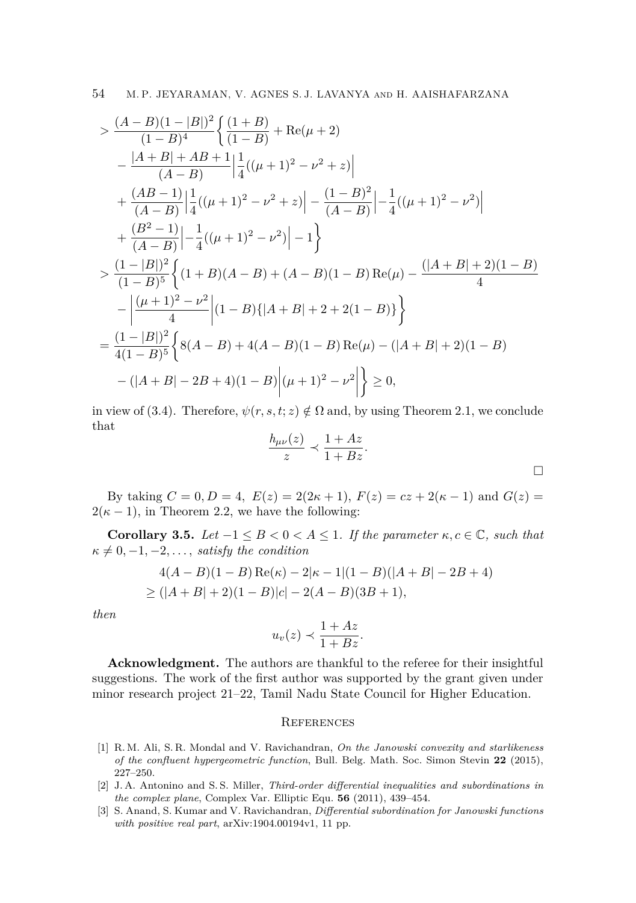$$
\begin{split}\n&\geq \frac{(A-B)(1-|B|)^2}{(1-B)^4} \left\{ \frac{(1+B)}{(1-B)} + \text{Re}(\mu+2) \right. \\
&\left. - \frac{|A+B|+AB+1}{(A-B)} \right| \frac{1}{4} ((\mu+1)^2 - \nu^2+z) \Big| \\
&+ \frac{(AB-1)}{(A-B)} \Big| \frac{1}{4} ((\mu+1)^2 - \nu^2+z) \Big| - \frac{(1-B)^2}{(A-B)} \Big| - \frac{1}{4} ((\mu+1)^2 - \nu^2) \Big| \\
&+ \frac{(B^2-1)}{(A-B)} \Big| - \frac{1}{4} ((\mu+1)^2 - \nu^2) \Big| - 1 \Big\} \\
&\geq \frac{(1-|B|)^2}{(1-B)^5} \left\{ (1+B)(A-B) + (A-B)(1-B) \text{Re}(\mu) - \frac{(|A+B|+2)(1-B)}{4} \right. \\
&\left. - \Big| \frac{(\mu+1)^2 - \nu^2}{4} \Big| (1-B) \{ |A+B|+2+2(1-B) \} \right\} \\
&= \frac{(1-|B|)^2}{4(1-B)^5} \left\{ 8(A-B) + 4(A-B)(1-B) \text{Re}(\mu) - (|A+B|+2)(1-B) \right. \\
&\left. - (|A+B|-2B+4)(1-B) \Big| (\mu+1)^2 - \nu^2 \Big| \right\} \geq 0,\n\end{split}
$$

in view of [\(3.4\)](#page-8-0). Therefore,  $\psi(r, s, t; z) \notin \Omega$  and, by using Theorem [2.1,](#page-3-1) we conclude that

$$
\frac{h_{\mu\nu}(z)}{z} \prec \frac{1+Az}{1+Bz}.
$$

By taking  $C = 0, D = 4, E(z) = 2(2\kappa + 1), F(z) = cz + 2(\kappa - 1)$  and  $G(z) =$  $2(\kappa - 1)$ , in Theorem [2.2,](#page-3-2) we have the following:

**Corollary 3.5.** *Let*  $-1 \leq B < 0 < A \leq 1$ . *If the parameter*  $\kappa, c \in \mathbb{C}$ *, such that*  $\kappa \neq 0, -1, -2, \ldots$ , *satisfy the condition* 

$$
4(A - B)(1 - B) \operatorname{Re}(\kappa) - 2|\kappa - 1|(1 - B)(|A + B| - 2B + 4)
$$
  
\n
$$
\ge (|A + B| + 2)(1 - B)|c| - 2(A - B)(3B + 1),
$$

*then*

$$
u_v(z) \prec \frac{1+Az}{1+Bz}.
$$

**Acknowledgment.** The authors are thankful to the referee for their insightful suggestions. The work of the first author was supported by the grant given under minor research project 21–22, Tamil Nadu State Council for Higher Education.

#### <span id="page-9-0"></span>**REFERENCES**

- <span id="page-9-1"></span>[1] R. M. Ali, S. R. Mondal and V. Ravichandran, *On the Janowski convexity and starlikeness of the confluent hypergeometric function*, Bull. Belg. Math. Soc. Simon Stevin **22** (2015), 227–250.
- <span id="page-9-2"></span>[2] J. A. Antonino and S. S. Miller, *Third-order differential inequalities and subordinations in the complex plane*, Complex Var. Elliptic Equ. **56** (2011), 439–454.
- [3] S. Anand, S. Kumar and V. Ravichandran, *Differential subordination for Janowski functions with positive real part*, arXiv:1904.00194v1, 11 pp.